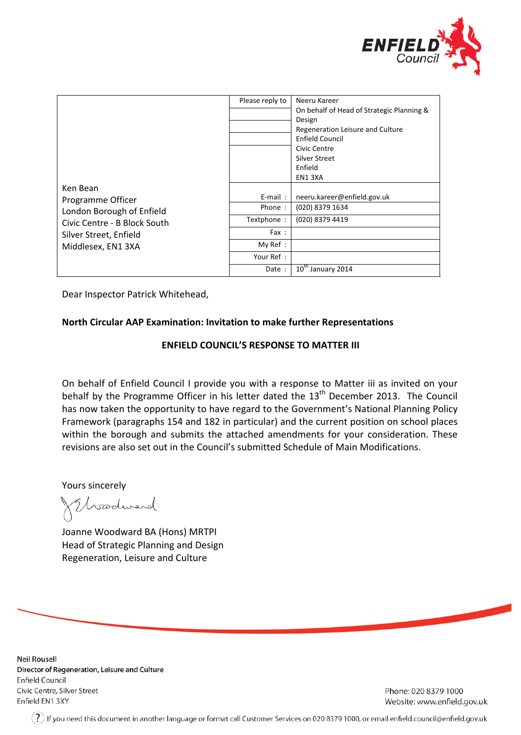

|                                                                                                                                            | Please reply to      | Neeru Kareer<br>On behalf of Head of Strategic Planning &<br>Design<br>Regeneration Leisure and Culture<br><b>Enfield Council</b><br>Civic Centre |
|--------------------------------------------------------------------------------------------------------------------------------------------|----------------------|---------------------------------------------------------------------------------------------------------------------------------------------------|
| Ken Bean<br>Programme Officer<br>London Borough of Enfield<br>Civic Centre - B Block South<br>Silver Street, Enfield<br>Middlesex, EN1 3XA |                      | Silver Street<br>Enfield<br>EN13XA                                                                                                                |
|                                                                                                                                            | $E$ -mail:<br>Phone: | neeru.kareer@enfield.gov.uk                                                                                                                       |
|                                                                                                                                            | Textphone:           | (020) 8379 1634<br>(020) 8379 4419                                                                                                                |
|                                                                                                                                            | Fax:                 |                                                                                                                                                   |
|                                                                                                                                            | My Ref:              |                                                                                                                                                   |
|                                                                                                                                            | Your Ref :           |                                                                                                                                                   |
|                                                                                                                                            | Date :               | 10 <sup>th</sup> January 2014                                                                                                                     |

Dear Inspector Patrick Whitehead,

## **North Circular AAP Examination: Invitation to make further Representations**

## **ENFIELD COUNCIL'S RESPONSE TO MATTER III**

On behalf of Enfield Council I provide you with a response to Matter iii as invited on your behalf by the Programme Officer in his letter dated the 13<sup>th</sup> December 2013. The Council has now taken the opportunity to have regard to the Government's National Planning Policy Framework (paragraphs 154 and 182 in particular) and the current position on school places within the borough and submits the attached amendments for your consideration. These revisions are also set out in the Council's submitted Schedule of Main Modifications.

Yours sincerely

Woodward

Joanne Woodward BA (Hons) MRTPI Head of Strategic Planning and Design Regeneration, Leisure and Culture

**Neil Rousell** Director of Regeneration, Leisure and Culture **Enfield Council** Civic Centre, Silver Street Enfield EN1 3XY

Phone: 020 8379 1000 Website: www.enfield.gov.uk

 $(?)$  If you need this document in another language or format call Customer Services on 020 8379 1000, or email enfield.council@enfield.gov.uk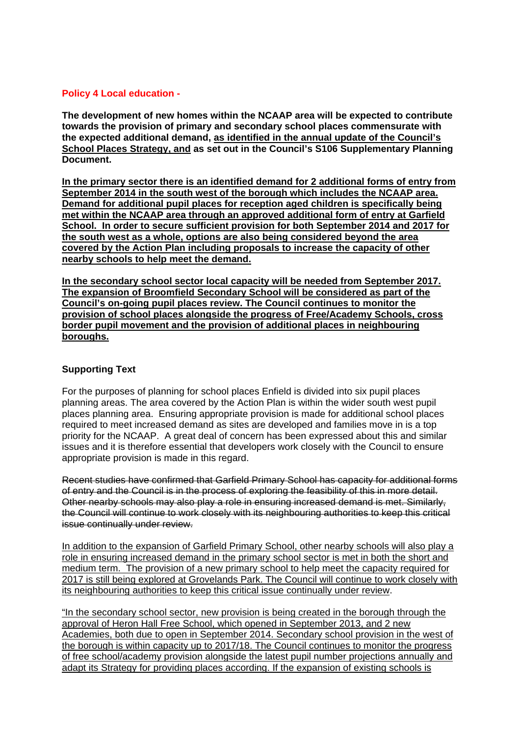## **Policy 4 Local education -**

**The development of new homes within the NCAAP area will be expected to contribute towards the provision of primary and secondary school places commensurate with the expected additional demand, as identified in the annual update of the Council's School Places Strategy, and as set out in the Council's S106 Supplementary Planning Document.**

**In the primary sector there is an identified demand for 2 additional forms of entry from September 2014 in the south west of the borough which includes the NCAAP area. Demand for additional pupil places for reception aged children is specifically being met within the NCAAP area through an approved additional form of entry at Garfield School. In order to secure sufficient provision for both September 2014 and 2017 for the south west as a whole, options are also being considered beyond the area covered by the Action Plan including proposals to increase the capacity of other nearby schools to help meet the demand.**

**In the secondary school sector local capacity will be needed from September 2017. The expansion of Broomfield Secondary School will be considered as part of the Council's on-going pupil places review. The Council continues to monitor the provision of school places alongside the progress of Free/Academy Schools, cross border pupil movement and the provision of additional places in neighbouring boroughs.**

## **Supporting Text**

For the purposes of planning for school places Enfield is divided into six pupil places planning areas. The area covered by the Action Plan is within the wider south west pupil places planning area. Ensuring appropriate provision is made for additional school places required to meet increased demand as sites are developed and families move in is a top priority for the NCAAP. A great deal of concern has been expressed about this and similar issues and it is therefore essential that developers work closely with the Council to ensure appropriate provision is made in this regard.

Recent studies have confirmed that Garfield Primary School has capacity for additional forms of entry and the Council is in the process of exploring the feasibility of this in more detail. Other nearby schools may also play a role in ensuring increased demand is met. Similarly, the Council will continue to work closely with its neighbouring authorities to keep this critical issue continually under review.

In addition to the expansion of Garfield Primary School, other nearby schools will also play a role in ensuring increased demand in the primary school sector is met in both the short and medium term. The provision of a new primary school to help meet the capacity required for 2017 is still being explored at Grovelands Park. The Council will continue to work closely with its neighbouring authorities to keep this critical issue continually under review.

"In the secondary school sector, new provision is being created in the borough through the approval of Heron Hall Free School, which opened in September 2013, and 2 new Academies, both due to open in September 2014. Secondary school provision in the west of the borough is within capacity up to 2017/18. The Council continues to monitor the progress of free school/academy provision alongside the latest pupil number projections annually and adapt its Strategy for providing places according. If the expansion of existing schools is